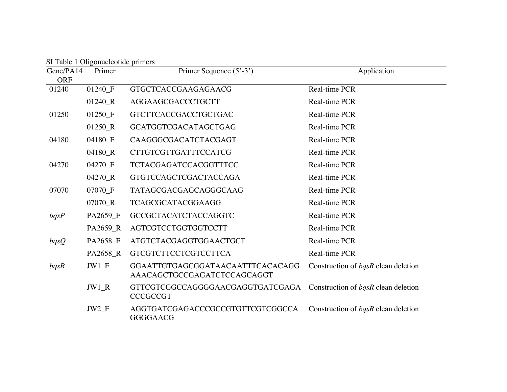| Gene/PA14<br><b>ORF</b> | Primer             | Primer Sequence (5'-3')                                         | Application                         |
|-------------------------|--------------------|-----------------------------------------------------------------|-------------------------------------|
| 01240                   | 01240_F            | <b>GTGCTCACCGAAGAGAACG</b>                                      | Real-time PCR                       |
|                         | 01240_R            | AGGAAGCGACCCTGCTT                                               | Real-time PCR                       |
| 01250                   | 01250 <sub>F</sub> | <b>GTCTTCACCGACCTGCTGAC</b>                                     | Real-time PCR                       |
|                         | $01250_R$          | <b>GCATGGTCGACATAGCTGAG</b>                                     | Real-time PCR                       |
| 04180                   | 04180_F            | CAAGGGCGACATCTACGAGT                                            | Real-time PCR                       |
|                         | 04180 R            | <b>CTTGTCGTTGATTTCCATCG</b>                                     | Real-time PCR                       |
| 04270                   | 04270_F            | <b>TCTACGAGATCCACGGTTTCC</b>                                    | Real-time PCR                       |
|                         | 04270_R            | <b>GTGTCCAGCTCGACTACCAGA</b>                                    | Real-time PCR                       |
| 07070                   | 07070_F            | TATAGCGACGAGCAGGGCAAG                                           | Real-time PCR                       |
|                         | 07070_R            | <b>TCAGCGCATACGGAAGG</b>                                        | Real-time PCR                       |
| bqsP                    | PA2659_F           | <b>GCCGCTACATCTACCAGGTC</b>                                     | Real-time PCR                       |
|                         | PA2659_R           | AGTCGTCCTGGTGGTCCTT                                             | Real-time PCR                       |
| bqsQ                    | PA2658_F           | ATGTCTACGAGGTGGAACTGCT                                          | Real-time PCR                       |
|                         | PA2658 R           | <b>GTCGTCTTCCTCGTCCTTCA</b>                                     | Real-time PCR                       |
| bqsR                    | $JW1_F$            | GGAATTGTGAGCGGATAACAATTTCACACAGG<br>AAACAGCTGCCGAGATCTCCAGCAGGT | Construction of bqsR clean deletion |
|                         | $JW1_R$            | GTTCGTCGGCCAGGGGAACGAGGTGATCGAGA<br><b>CCCGCCGT</b>             | Construction of bqsR clean deletion |
|                         | $JW2_F$            | AGGTGATCGAGACCCGCCGTGTTCGTCGGCCA<br><b>GGGGAACG</b>             | Construction of bqsR clean deletion |

SI Table 1 Oligonucleotide primers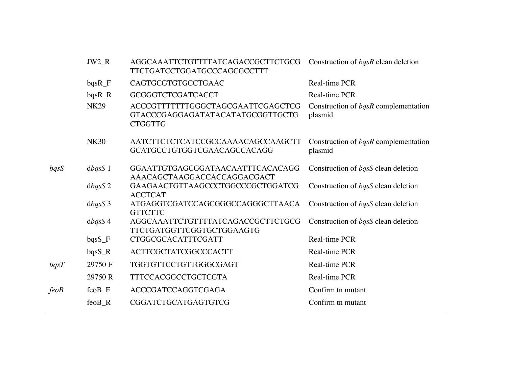|      | $JW2_R$             | AGGCAAATTCTGTTTTATCAGACCGCTTCTGCG<br><b>TTCTGATCCTGGATGCCCAGCGCCTTT</b>                 | Construction of <i>bqsR</i> clean deletion             |
|------|---------------------|-----------------------------------------------------------------------------------------|--------------------------------------------------------|
|      | $bqsR$ <sub>F</sub> | CAGTGCGTGTGCCTGAAC                                                                      | Real-time PCR                                          |
|      | $bqsR_R$            | <b>GCGGGTCTCGATCACCT</b>                                                                | Real-time PCR                                          |
|      | <b>NK29</b>         | ACCCGTTTTTTTGGGCTAGCGAATTCGAGCTCG<br>GTACCCGAGGAGATATACATATGCGGTTGCTG<br><b>CTGGTTG</b> | Construction of bqsR complementation<br>plasmid        |
|      | <b>NK30</b>         | AATCTTCTCTCATCCGCCAAAACAGCCAAGCTT<br>GCATGCCTGTGGTCGAACAGCCACAGG                        | Construction of <i>bqsR</i> complementation<br>plasmid |
| bqsS | $d$ <i>bqsS</i> 1   | GGAATTGTGAGCGGATAACAATTTCACACAGG<br>AAACAGCTAAGGACCACCAGGACGACT                         | Construction of <i>bqsS</i> clean deletion             |
|      | dbqsS2              | GAAGAACTGTTAAGCCCTGGCCCGCTGGATCG<br><b>ACCTCAT</b>                                      | Construction of bqsS clean deletion                    |
|      | dbqsS3              | ATGAGGTCGATCCAGCGGGCCAGGGCTTAACA<br><b>GTTCTTC</b>                                      | Construction of bqsS clean deletion                    |
|      | dbqsS4              | AGGCAAATTCTGTTTTATCAGACCGCTTCTGCG<br><b>TTCTGATGGTTCGGTGCTGGAAGTG</b>                   | Construction of bqsS clean deletion                    |
|      | bqsS_F              | CTGGCGCACATTTCGATT                                                                      | Real-time PCR                                          |
|      | $bqsS_R$            | <b>ACTTCGCTATCGGCCCACTT</b>                                                             | Real-time PCR                                          |
| bqsT | 29750 F             | TGGTGTTCCTGTTGGGCGAGT                                                                   | Real-time PCR                                          |
|      | 29750 R             | <b>TTTCCACGGCCTGCTCGTA</b>                                                              | Real-time PCR                                          |
| feoB | feoB_F              | <b>ACCCGATCCAGGTCGAGA</b>                                                               | Confirm tn mutant                                      |
|      | feoB_R              | CGGATCTGCATGAGTGTCG                                                                     | Confirm tn mutant                                      |
|      |                     |                                                                                         |                                                        |